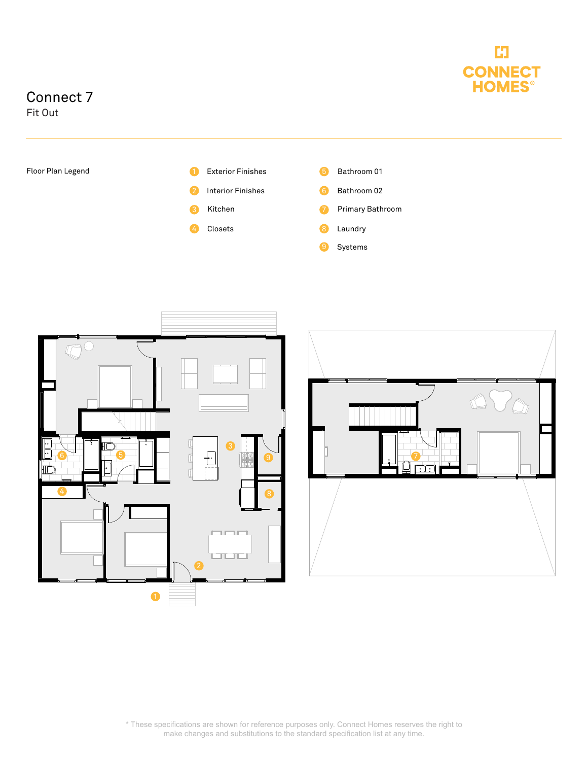

## Connect 7

Fit Out





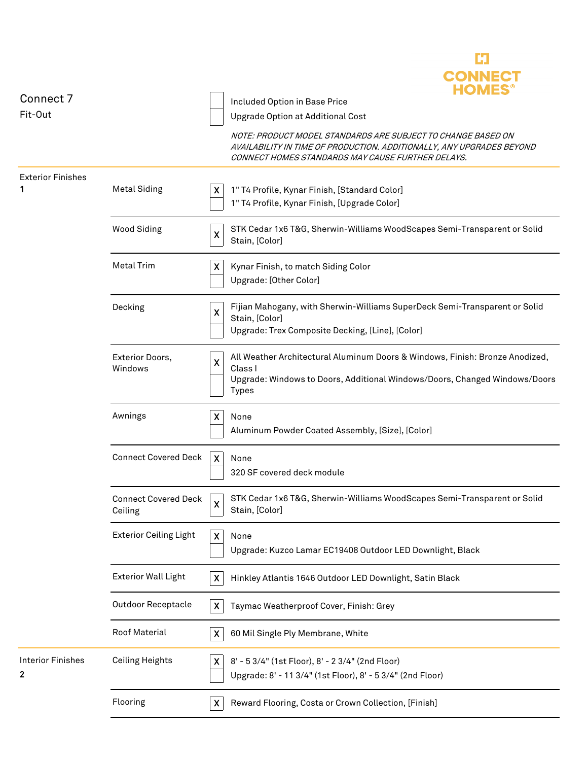| Connect 7<br>Fit-Out          |                                        |                           | Included Option in Base Price<br>Upgrade Option at Additional Cost                                                                                                                         |
|-------------------------------|----------------------------------------|---------------------------|--------------------------------------------------------------------------------------------------------------------------------------------------------------------------------------------|
|                               |                                        |                           | NOTE: PRODUCT MODEL STANDARDS ARE SUBJECT TO CHANGE BASED ON<br>AVAILABILITY IN TIME OF PRODUCTION. ADDITIONALLY, ANY UPGRADES BEYOND<br>CONNECT HOMES STANDARDS MAY CAUSE FURTHER DELAYS. |
| Exterior Finishes<br>1        | <b>Metal Siding</b>                    | X                         | 1" T4 Profile, Kynar Finish, [Standard Color]<br>1" T4 Profile, Kynar Finish, [Upgrade Color]                                                                                              |
|                               | <b>Wood Siding</b>                     | $\pmb{\mathsf{X}}$        | STK Cedar 1x6 T&G, Sherwin-Williams WoodScapes Semi-Transparent or Solid<br>Stain, [Color]                                                                                                 |
|                               | <b>Metal Trim</b>                      | X                         | Kynar Finish, to match Siding Color<br>Upgrade: [Other Color]                                                                                                                              |
|                               | Decking                                | $\boldsymbol{\mathsf{X}}$ | Fijian Mahogany, with Sherwin-Williams SuperDeck Semi-Transparent or Solid<br>Stain, [Color]<br>Upgrade: Trex Composite Decking, [Line], [Color]                                           |
|                               | Exterior Doors,<br>Windows             | $\boldsymbol{\mathsf{X}}$ | All Weather Architectural Aluminum Doors & Windows, Finish: Bronze Anodized,<br>Class I<br>Upgrade: Windows to Doors, Additional Windows/Doors, Changed Windows/Doors<br><b>Types</b>      |
|                               | Awnings                                | x                         | None<br>Aluminum Powder Coated Assembly, [Size], [Color]                                                                                                                                   |
|                               | <b>Connect Covered Deck</b>            | $\boldsymbol{\mathsf{x}}$ | None<br>320 SF covered deck module                                                                                                                                                         |
|                               | <b>Connect Covered Deck</b><br>Ceiling |                           | STK Cedar 1x6 T&G, Sherwin-Williams WoodScapes Semi-Transparent or Solid<br>Stain, [Color]                                                                                                 |
|                               | <b>Exterior Ceiling Light</b>          | $\pmb{\mathsf{X}}$        | None<br>Upgrade: Kuzco Lamar EC19408 Outdoor LED Downlight, Black                                                                                                                          |
|                               | <b>Exterior Wall Light</b>             | $\boldsymbol{\mathsf{x}}$ | Hinkley Atlantis 1646 Outdoor LED Downlight, Satin Black                                                                                                                                   |
|                               | <b>Outdoor Receptacle</b>              | $\boldsymbol{\mathsf{X}}$ | Taymac Weatherproof Cover, Finish: Grey                                                                                                                                                    |
|                               | Roof Material                          | X                         | 60 Mil Single Ply Membrane, White                                                                                                                                                          |
| <b>Interior Finishes</b><br>2 | <b>Ceiling Heights</b>                 | X                         | 8' - 5 3/4" (1st Floor), 8' - 2 3/4" (2nd Floor)<br>Upgrade: 8' - 11 3/4" (1st Floor), 8' - 5 3/4" (2nd Floor)                                                                             |
|                               | Flooring                               | X                         | Reward Flooring, Costa or Crown Collection, [Finish]                                                                                                                                       |

E3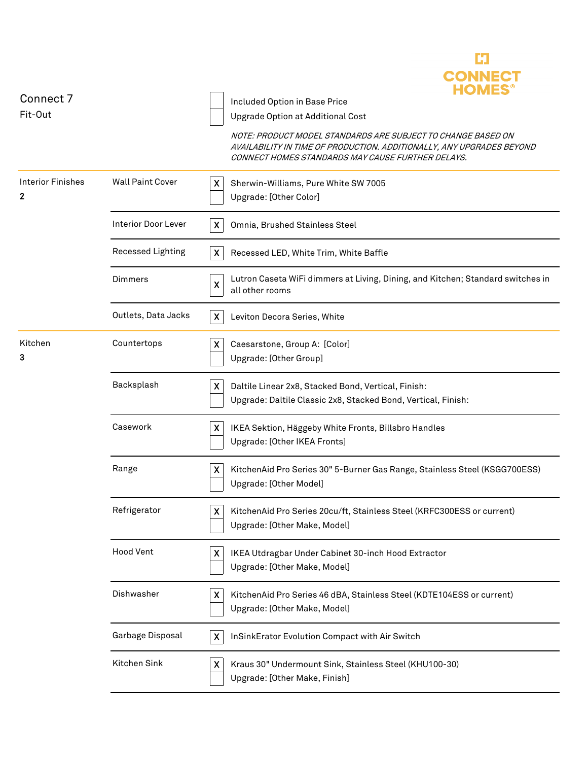| Connect 7                     |                         | Included Option in Base Price                                                                                                                                                              |
|-------------------------------|-------------------------|--------------------------------------------------------------------------------------------------------------------------------------------------------------------------------------------|
| Fit-Out                       |                         | Upgrade Option at Additional Cost                                                                                                                                                          |
|                               |                         | NOTE: PRODUCT MODEL STANDARDS ARE SUBJECT TO CHANGE BASED ON<br>AVAILABILITY IN TIME OF PRODUCTION. ADDITIONALLY, ANY UPGRADES BEYOND<br>CONNECT HOMES STANDARDS MAY CAUSE FURTHER DELAYS. |
| <b>Interior Finishes</b><br>2 | <b>Wall Paint Cover</b> | X<br>Sherwin-Williams, Pure White SW 7005<br>Upgrade: [Other Color]                                                                                                                        |
|                               | Interior Door Lever     | $\boldsymbol{\mathsf{X}}$<br>Omnia, Brushed Stainless Steel                                                                                                                                |
|                               | Recessed Lighting       | X<br>Recessed LED, White Trim, White Baffle                                                                                                                                                |
|                               | <b>Dimmers</b>          | Lutron Caseta WiFi dimmers at Living, Dining, and Kitchen; Standard switches in<br>$\boldsymbol{\mathsf{X}}$<br>all other rooms                                                            |
|                               | Outlets, Data Jacks     | $\mathsf{X}$<br>Leviton Decora Series, White                                                                                                                                               |
| Kitchen<br>3                  | Countertops             | $\boldsymbol{\mathsf{X}}$<br>Caesarstone, Group A: [Color]<br>Upgrade: [Other Group]                                                                                                       |
|                               | Backsplash              | X<br>Daltile Linear 2x8, Stacked Bond, Vertical, Finish:<br>Upgrade: Daltile Classic 2x8, Stacked Bond, Vertical, Finish:                                                                  |
|                               | Casework                | X<br>IKEA Sektion, Häggeby White Fronts, Billsbro Handles<br>Upgrade: [Other IKEA Fronts]                                                                                                  |
|                               | Range                   | X<br>KitchenAid Pro Series 30" 5-Burner Gas Range, Stainless Steel (KSGG700ESS)<br>Upgrade: [Other Model]                                                                                  |
|                               | Refrigerator            | X<br>KitchenAid Pro Series 20cu/ft, Stainless Steel (KRFC300ESS or current)<br>Upgrade: [Other Make, Model]                                                                                |
|                               | <b>Hood Vent</b>        | $\boldsymbol{\mathsf{X}}$<br>IKEA Utdragbar Under Cabinet 30-inch Hood Extractor<br>Upgrade: [Other Make, Model]                                                                           |
|                               | Dishwasher              | $\boldsymbol{\mathsf{X}}$<br>KitchenAid Pro Series 46 dBA, Stainless Steel (KDTE104ESS or current)<br>Upgrade: [Other Make, Model]                                                         |
|                               | Garbage Disposal        | InSinkErator Evolution Compact with Air Switch<br>X                                                                                                                                        |
|                               | Kitchen Sink            | $\boldsymbol{X}$<br>Kraus 30" Undermount Sink, Stainless Steel (KHU100-30)<br>Upgrade: [Other Make, Finish]                                                                                |

Ľ.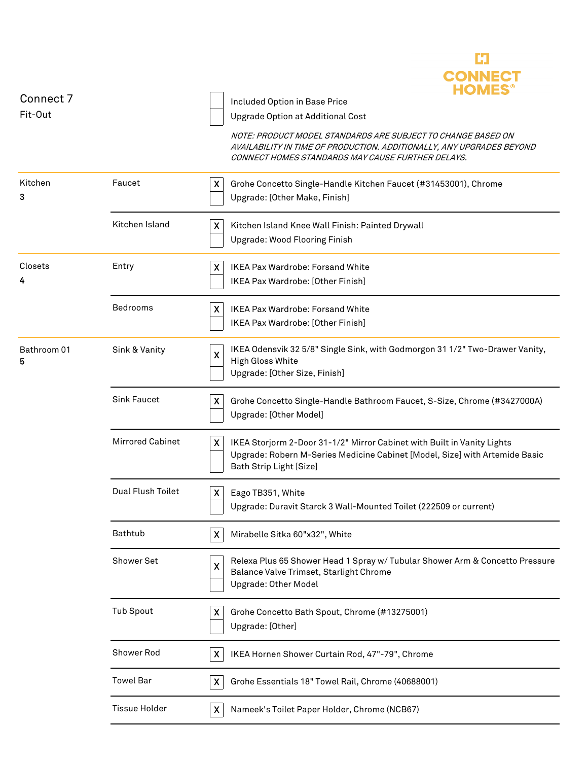| Connect 7        |                         | CONNEC<br>HOMES                                                                                                                                                                            |
|------------------|-------------------------|--------------------------------------------------------------------------------------------------------------------------------------------------------------------------------------------|
| Fit-Out          |                         | Included Option in Base Price<br>Upgrade Option at Additional Cost                                                                                                                         |
|                  |                         | NOTE: PRODUCT MODEL STANDARDS ARE SUBJECT TO CHANGE BASED ON<br>AVAILABILITY IN TIME OF PRODUCTION. ADDITIONALLY, ANY UPGRADES BEYOND<br>CONNECT HOMES STANDARDS MAY CAUSE FURTHER DELAYS. |
| Kitchen<br>3     | Faucet                  | X<br>Grohe Concetto Single-Handle Kitchen Faucet (#31453001), Chrome<br>Upgrade: [Other Make, Finish]                                                                                      |
|                  | Kitchen Island          | X<br>Kitchen Island Knee Wall Finish: Painted Drywall<br>Upgrade: Wood Flooring Finish                                                                                                     |
| Closets          | Entry                   | <b>IKEA Pax Wardrobe: Forsand White</b><br>X<br>IKEA Pax Wardrobe: [Other Finish]                                                                                                          |
|                  | Bedrooms                | $\boldsymbol{X}$<br><b>IKEA Pax Wardrobe: Forsand White</b><br>IKEA Pax Wardrobe: [Other Finish]                                                                                           |
| Bathroom 01<br>5 | Sink & Vanity           | IKEA Odensvik 32 5/8" Single Sink, with Godmorgon 31 1/2" Two-Drawer Vanity,<br>$\pmb{\mathsf{X}}$<br><b>High Gloss White</b><br>Upgrade: [Other Size, Finish]                             |
|                  | <b>Sink Faucet</b>      | X<br>Grohe Concetto Single-Handle Bathroom Faucet, S-Size, Chrome (#3427000A)<br>Upgrade: [Other Model]                                                                                    |
|                  | <b>Mirrored Cabinet</b> | X<br>IKEA Storjorm 2-Door 31-1/2" Mirror Cabinet with Built in Vanity Lights<br>Upgrade: Robern M-Series Medicine Cabinet [Model, Size] with Artemide Basic<br>Bath Strip Light [Size]     |
|                  | Dual Flush Toilet       | Eago TB351, White<br>X<br>Upgrade: Duravit Starck 3 Wall-Mounted Toilet (222509 or current)                                                                                                |
|                  | Bathtub                 | $\boldsymbol{\mathsf{X}}$<br>Mirabelle Sitka 60"x32", White                                                                                                                                |
|                  | Shower Set              | Relexa Plus 65 Shower Head 1 Spray w/ Tubular Shower Arm & Concetto Pressure<br>X<br>Balance Valve Trimset, Starlight Chrome<br>Upgrade: Other Model                                       |
|                  | <b>Tub Spout</b>        | X<br>Grohe Concetto Bath Spout, Chrome (#13275001)<br>Upgrade: [Other]                                                                                                                     |
|                  | Shower Rod              | IKEA Hornen Shower Curtain Rod, 47"-79", Chrome<br>$\boldsymbol{\mathsf{X}}$                                                                                                               |
|                  | <b>Towel Bar</b>        | Grohe Essentials 18" Towel Rail, Chrome (40688001)<br>X                                                                                                                                    |
|                  | <b>Tissue Holder</b>    | Nameek's Toilet Paper Holder, Chrome (NCB67)<br>X                                                                                                                                          |

C)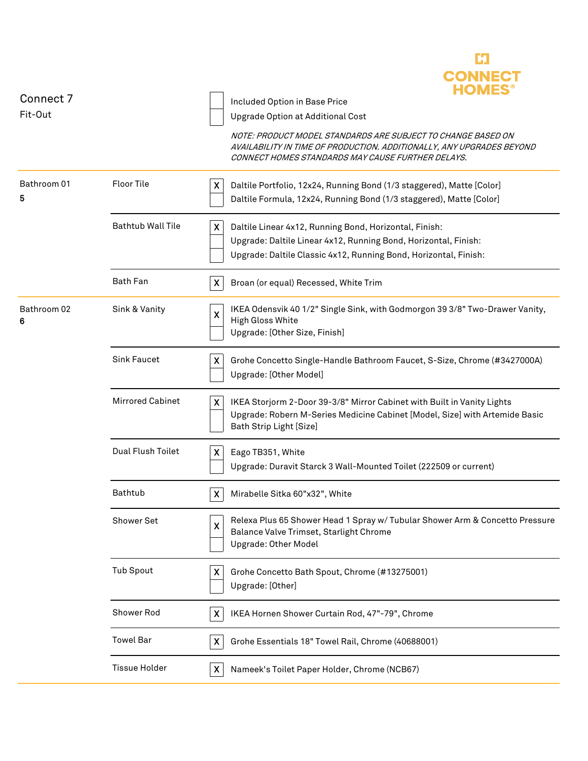| Connect 7<br>Fit-Out |                          | <b>CONNECT</b><br><b>HOMES</b><br>Included Option in Base Price<br>Upgrade Option at Additional Cost<br>NOTE: PRODUCT MODEL STANDARDS ARE SUBJECT TO CHANGE BASED ON<br>AVAILABILITY IN TIME OF PRODUCTION. ADDITIONALLY, ANY UPGRADES BEYOND<br>CONNECT HOMES STANDARDS MAY CAUSE FURTHER DELAYS. |
|----------------------|--------------------------|----------------------------------------------------------------------------------------------------------------------------------------------------------------------------------------------------------------------------------------------------------------------------------------------------|
| Bathroom 01<br>5     | <b>Floor Tile</b>        | Daltile Portfolio, 12x24, Running Bond (1/3 staggered), Matte [Color]<br>X<br>Daltile Formula, 12x24, Running Bond (1/3 staggered), Matte [Color]                                                                                                                                                  |
|                      | <b>Bathtub Wall Tile</b> | $\boldsymbol{\mathsf{X}}$<br>Daltile Linear 4x12, Running Bond, Horizontal, Finish:<br>Upgrade: Daltile Linear 4x12, Running Bond, Horizontal, Finish:<br>Upgrade: Daltile Classic 4x12, Running Bond, Horizontal, Finish:                                                                         |
|                      | Bath Fan                 | $\boldsymbol{\mathsf{X}}$<br>Broan (or equal) Recessed, White Trim                                                                                                                                                                                                                                 |
| Bathroom 02<br>6     | Sink & Vanity            | IKEA Odensvik 40 1/2" Single Sink, with Godmorgon 39 3/8" Two-Drawer Vanity,<br>$\boldsymbol{\mathsf{X}}$<br>High Gloss White<br>Upgrade: [Other Size, Finish]                                                                                                                                     |
|                      | <b>Sink Faucet</b>       | X<br>Grohe Concetto Single-Handle Bathroom Faucet, S-Size, Chrome (#3427000A)<br>Upgrade: [Other Model]                                                                                                                                                                                            |
|                      | <b>Mirrored Cabinet</b>  | IKEA Storjorm 2-Door 39-3/8" Mirror Cabinet with Built in Vanity Lights<br>X<br>Upgrade: Robern M-Series Medicine Cabinet [Model, Size] with Artemide Basic<br>Bath Strip Light [Size]                                                                                                             |
|                      | Dual Flush Toilet        | X<br>Eago TB351, White<br>Upgrade: Duravit Starck 3 Wall-Mounted Toilet (222509 or current)                                                                                                                                                                                                        |
|                      | Bathtub                  | X<br>Mirabelle Sitka 60"x32", White                                                                                                                                                                                                                                                                |
|                      | Shower Set               | Relexa Plus 65 Shower Head 1 Spray w/ Tubular Shower Arm & Concetto Pressure<br>X<br>Balance Valve Trimset, Starlight Chrome<br>Upgrade: Other Model                                                                                                                                               |
|                      | <b>Tub Spout</b>         | Grohe Concetto Bath Spout, Chrome (#13275001)<br>X<br>Upgrade: [Other]                                                                                                                                                                                                                             |
|                      | Shower Rod               | IKEA Hornen Shower Curtain Rod, 47"-79", Chrome<br>X                                                                                                                                                                                                                                               |
|                      | <b>Towel Bar</b>         | Grohe Essentials 18" Towel Rail, Chrome (40688001)<br>$\boldsymbol{\mathsf{X}}$                                                                                                                                                                                                                    |
|                      | <b>Tissue Holder</b>     | $\boldsymbol{\mathsf{X}}$<br>Nameek's Toilet Paper Holder, Chrome (NCB67)                                                                                                                                                                                                                          |

C)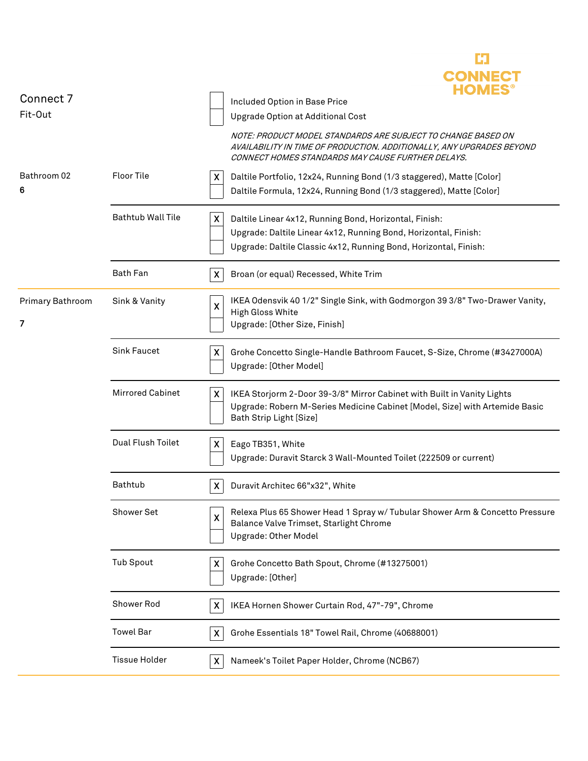|                  |                          | <b>CONNECT</b><br><b>HOMES</b>                                                                                                                                                                                 |
|------------------|--------------------------|----------------------------------------------------------------------------------------------------------------------------------------------------------------------------------------------------------------|
| Connect 7        |                          | Included Option in Base Price                                                                                                                                                                                  |
| Fit-Out          |                          | Upgrade Option at Additional Cost                                                                                                                                                                              |
|                  |                          | NOTE: PRODUCT MODEL STANDARDS ARE SUBJECT TO CHANGE BASED ON<br>AVAILABILITY IN TIME OF PRODUCTION. ADDITIONALLY, ANY UPGRADES BEYOND<br>CONNECT HOMES STANDARDS MAY CAUSE FURTHER DELAYS.                     |
| Bathroom 02<br>6 | Floor Tile               | X<br>Daltile Portfolio, 12x24, Running Bond (1/3 staggered), Matte [Color]<br>Daltile Formula, 12x24, Running Bond (1/3 staggered), Matte [Color]                                                              |
|                  | <b>Bathtub Wall Tile</b> | X<br>Daltile Linear 4x12, Running Bond, Horizontal, Finish:                                                                                                                                                    |
|                  |                          | Upgrade: Daltile Linear 4x12, Running Bond, Horizontal, Finish:                                                                                                                                                |
|                  |                          | Upgrade: Daltile Classic 4x12, Running Bond, Horizontal, Finish:                                                                                                                                               |
|                  | <b>Bath Fan</b>          | $\boldsymbol{X}$<br>Broan (or equal) Recessed, White Trim                                                                                                                                                      |
| Primary Bathroom | Sink & Vanity            | IKEA Odensvik 40 1/2" Single Sink, with Godmorgon 39 3/8" Two-Drawer Vanity,<br>X                                                                                                                              |
| 7                |                          | High Gloss White                                                                                                                                                                                               |
|                  |                          | Upgrade: [Other Size, Finish]                                                                                                                                                                                  |
|                  | <b>Sink Faucet</b>       | X<br>Grohe Concetto Single-Handle Bathroom Faucet, S-Size, Chrome (#3427000A)                                                                                                                                  |
|                  |                          | Upgrade: [Other Model]                                                                                                                                                                                         |
|                  | <b>Mirrored Cabinet</b>  | $\boldsymbol{\mathsf{X}}$<br>IKEA Storjorm 2-Door 39-3/8" Mirror Cabinet with Built in Vanity Lights<br>Upgrade: Robern M-Series Medicine Cabinet [Model, Size] with Artemide Basic<br>Bath Strip Light [Size] |
|                  | Dual Flush Toilet        | Eago TB351, White<br>X.                                                                                                                                                                                        |
|                  |                          | Upgrade: Duravit Starck 3 Wall-Mounted Toilet (222509 or current)                                                                                                                                              |
|                  |                          |                                                                                                                                                                                                                |
|                  | Bathtub                  | Duravit Architec 66"x32", White<br>X                                                                                                                                                                           |
|                  | Shower Set               | Relexa Plus 65 Shower Head 1 Spray w/ Tubular Shower Arm & Concetto Pressure<br>$\boldsymbol{\mathsf{X}}$                                                                                                      |
|                  |                          | Balance Valve Trimset, Starlight Chrome                                                                                                                                                                        |
|                  |                          | Upgrade: Other Model                                                                                                                                                                                           |
|                  | <b>Tub Spout</b>         | X<br>Grohe Concetto Bath Spout, Chrome (#13275001)                                                                                                                                                             |
|                  |                          | Upgrade: [Other]                                                                                                                                                                                               |
|                  | Shower Rod               | IKEA Hornen Shower Curtain Rod, 47"-79", Chrome                                                                                                                                                                |
|                  |                          | X                                                                                                                                                                                                              |
|                  | <b>Towel Bar</b>         | Grohe Essentials 18" Towel Rail, Chrome (40688001)<br>X                                                                                                                                                        |
|                  | <b>Tissue Holder</b>     | X<br>Nameek's Toilet Paper Holder, Chrome (NCB67)                                                                                                                                                              |
|                  |                          |                                                                                                                                                                                                                |